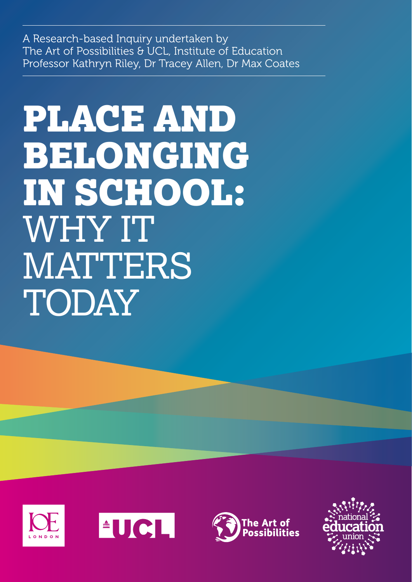A Research-based Inquiry undertaken by The Art of Possibilities & UCL, Institute of Education Professor Kathryn Riley, Dr Tracey Allen, Dr Max Coates

# PLACE AND BELONGING IN SCHOOL: WHY IT MATTERS TODAY







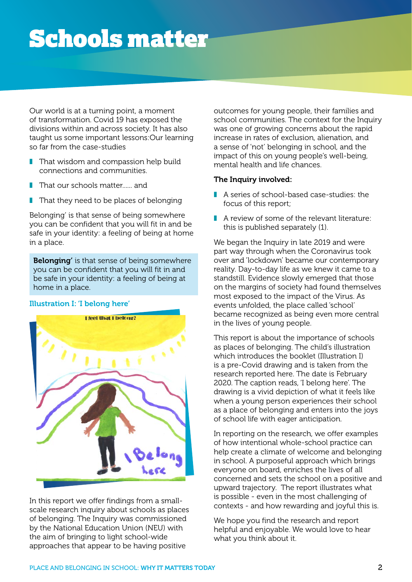## Schools matter

Our world is at a turning point, a moment of transformation. Covid 19 has exposed the divisions within and across society. It has also taught us some important lessons:Our learning so far from the case-studies

- That wisdom and compassion help build connections and communities.
- That our schools matter...... and
- $\blacksquare$  That they need to be places of belonging

Belonging' is that sense of being somewhere you can be confident that you will fit in and be safe in your identity: a feeling of being at home in a place.

Belonging' is that sense of being somewhere you can be confident that you will fit in and be safe in your identity: a feeling of being at home in a place.





In this report we offer findings from a smallscale research inquiry about schools as places of belonging. The Inquiry was commissioned by the National Education Union (NEU) with the aim of bringing to light school-wide approaches that appear to be having positive

outcomes for young people, their families and school communities. The context for the Inquiry was one of growing concerns about the rapid increase in rates of exclusion, alienation, and a sense of 'not' belonging in school, and the impact of this on young people's well-being, mental health and life chances.

#### The Inquiry involved:

- A series of school-based case-studies: the focus of this report;
- **T** A review of some of the relevant literature: this is published separately (1).

We began the Inquiry in late 2019 and were part way through when the Coronavirus took over and 'lockdown' became our contemporary reality. Day-to-day life as we knew it came to a standstill. Evidence slowly emerged that those on the margins of society had found themselves most exposed to the impact of the Virus. As events unfolded, the place called 'school' became recognized as being even more central in the lives of young people.

This report is about the importance of schools as places of belonging. The child's illustration which introduces the booklet (Illustration I) is a pre-Covid drawing and is taken from the research reported here. The date is February 2020. The caption reads, 'I belong here'. The drawing is a vivid depiction of what it feels like when a young person experiences their school as a place of belonging and enters into the joys of school life with eager anticipation.

In reporting on the research, we offer examples of how intentional whole-school practice can help create a climate of welcome and belonging in school. A purposeful approach which brings everyone on board, enriches the lives of all concerned and sets the school on a positive and upward trajectory. The report illustrates what is possible - even in the most challenging of contexts - and how rewarding and joyful this is.

We hope you find the research and report helpful and enjoyable. We would love to hear what you think about it.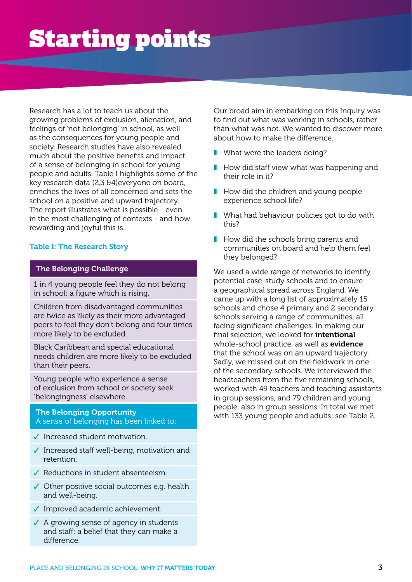## Starting points

Research has a lot to teach us about the growing problems of exclusion, alienation, and feelings of 'not belonging' in school, as well as the consequences for young people and society. Research studies have also revealed much about the positive benefits and impact of a sense of belonging in school for young people and adults. Table I highlights some of the key research data (2,3 &4)everyone on board, enriches the lives of all concerned and sets the school on a positive and upward trajectory. The report illustrates what is possible - even in the most challenging of contexts - and how rewarding and joyful this is.

#### Table I: The Research Story

### The Belonging Challenge

1 in 4 young people feel they do not belong in school: a figure which is rising.

Children from disadvantaged communities are twice as likely as their more advantaged peers to feel they don't belong and four times more likely to be excluded.

Black Caribbean and special educational needs children are more likely to be excluded than their peers.

Young people who experience a sense of exclusion from school or society seek 'belongingness' elsewhere.

### The Belonging Opportunity A sense of belonging has been linked to:

- ✓ Increased student motivation.
- ✓ Increased staff well-being, motivation and retention.
- ✓ Reductions in student absenteeism.
- ✓ Other positive social outcomes e.g. health and well-being.
- ✓ Improved academic achievement.
- ✓ A growing sense of agency in students and staff: a belief that they can make a difference.

Our broad aim in embarking on this Inquiry was to find out what was working in schools, rather than what was not. We wanted to discover more about how to make the difference.

- What were the leaders doing?
- $\blacksquare$  How did staff view what was happening and their role in it?
- How did the children and young people experience school life?
- What had behaviour policies got to do with this?
- How did the schools bring parents and communities on board and help them feel they belonged?

We used a wide range of networks to identify potential case-study schools and to ensure a geographical spread across England. We came up with a long list of approximately 15 schools and chose 4 primary and 2 secondary schools serving a range of communities, all facing significant challenges. In making our final selection, we looked for **intentional** whole-school practice, as well as **evidence** that the school was on an upward trajectory. Sadly, we missed out on the fieldwork in one of the secondary schools. We interviewed the headteachers from the five remaining schools, worked with 49 teachers and teaching assistants in group sessions, and 79 children and young people, also in group sessions. In total we met with 133 young people and adults: see Table 2.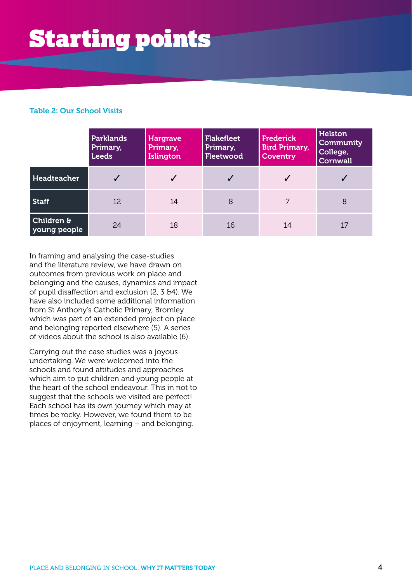## Starting points

### Table 2: Our School Visits

|                                       | <b>Parklands</b><br>Primary,<br><b>Leeds</b> | <b>Hargrave</b><br>Primary,<br>Islington | <b>Flakefleet</b><br>Primary,<br>Fleetwood | <b>Frederick</b><br><b>Bird Primary,</b><br><b>Coventry</b> | Helston<br>Community<br>College,<br><b>Cornwall</b> |
|---------------------------------------|----------------------------------------------|------------------------------------------|--------------------------------------------|-------------------------------------------------------------|-----------------------------------------------------|
| Headteacher                           | $\checkmark$                                 |                                          |                                            |                                                             |                                                     |
| <b>Staff</b>                          | 12                                           | 14                                       | 8                                          | 7                                                           | 8                                                   |
| <b>Children &amp;</b><br>young people | 24                                           | 18                                       | 16                                         | 14                                                          | 17                                                  |

In framing and analysing the case-studies and the literature review, we have drawn on outcomes from previous work on place and belonging and the causes, dynamics and impact of pupil disaffection and exclusion (2, 3 &4). We have also included some additional information from St Anthony's Catholic Primary, Bromley which was part of an extended project on place and belonging reported elsewhere (5). A series of videos about the school is also available (6).

Carrying out the case studies was a joyous undertaking. We were welcomed into the schools and found attitudes and approaches which aim to put children and young people at the heart of the school endeavour. This in not to suggest that the schools we visited are perfect! Each school has its own journey which may at times be rocky. However, we found them to be places of enjoyment, learning – and belonging.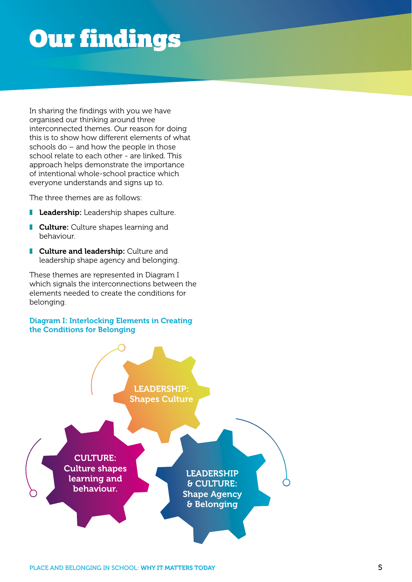## Our findings

In sharing the findings with you we have organised our thinking around three interconnected themes. Our reason for doing this is to show how different elements of what schools do – and how the people in those school relate to each other - are linked. This approach helps demonstrate the importance of intentional whole-school practice which everyone understands and signs up to.

The three themes are as follows:

- Leadership: Leadership shapes culture.
- **Culture:** Culture shapes learning and behaviour.
- **I** Culture and leadership: Culture and leadership shape agency and belonging.

These themes are represented in Diagram I which signals the interconnections between the elements needed to create the conditions for belonging.

#### Diagram I: Interlocking Elements in Creating the Conditions for Belonging

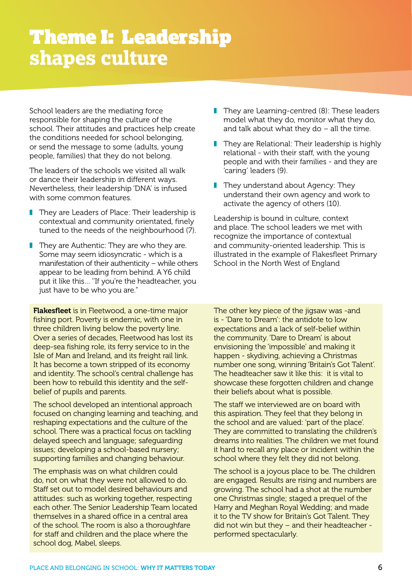### Theme I: Leadership **shapes culture**

School leaders are the mediating force responsible for shaping the culture of the school. Their attitudes and practices help create the conditions needed for school belonging, or send the message to some (adults, young people, families) that they do not belong.

The leaders of the schools we visited all walk or dance their leadership in different ways. Nevertheless, their leadership 'DNA' is infused with some common features.

- They are Leaders of Place: Their leadership is contextual and community orientated, finely tuned to the needs of the neighbourhood (7).
- They are Authentic: They are who they are. Some may seem idiosyncratic - which is a manifestation of their authenticity – while others appear to be leading from behind. A Y6 child put it like this… ''If you're the headteacher, you just have to be who you are."

**Flakesfleet** is in Fleetwood, a one-time major fishing port. Poverty is endemic, with one in three children living below the poverty line. Over a series of decades, Fleetwood has lost its deep-sea fishing role, its ferry service to in the Isle of Man and Ireland, and its freight rail link. It has become a town stripped of its economy and identity. The school's central challenge has been how to rebuild this identity and the selfbelief of pupils and parents.

The school developed an intentional approach focused on changing learning and teaching, and reshaping expectations and the culture of the school. There was a practical focus on tackling delayed speech and language; safeguarding issues; developing a school-based nursery; supporting families and changing behaviour.

The emphasis was on what children could do, not on what they were not allowed to do. Staff set out to model desired behaviours and attitudes: such as working together, respecting each other. The Senior Leadership Team located themselves in a shared office in a central area of the school. The room is also a thoroughfare for staff and children and the place where the school dog, Mabel, sleeps.

- They are Learning-centred (8): These leaders model what they do, monitor what they do, and talk about what they do  $-$  all the time.
- They are Relational: Their leadership is highly relational - with their staff, with the young people and with their families - and they are 'caring' leaders (9).
- They understand about Agency: They understand their own agency and work to activate the agency of others (10).

Leadership is bound in culture, context and place. The school leaders we met with recognize the importance of contextual and community-oriented leadership. This is illustrated in the example of Flakesfleet Primary School in the North West of England

The other key piece of the jigsaw was -and is - 'Dare to Dream': the antidote to low expectations and a lack of self-belief within the community. 'Dare to Dream' is about envisioning the 'impossible' and making it happen - skydiving, achieving a Christmas number one song, winning 'Britain's Got Talent'. The headteacher saw it like this: it is vital to showcase these forgotten children and change their beliefs about what is possible.

The staff we interviewed are on board with this aspiration. They feel that they belong in the school and are valued: 'part of the place'. They are committed to translating the children's dreams into realities. The children we met found it hard to recall any place or incident within the school where they felt they did not belong.

The school is a joyous place to be. The children are engaged. Results are rising and numbers are growing. The school had a shot at the number one Christmas single; staged a prequel of the Harry and Meghan Royal Wedding; and made it to the TV show for Britain's Got Talent. They did not win but they – and their headteacher performed spectacularly.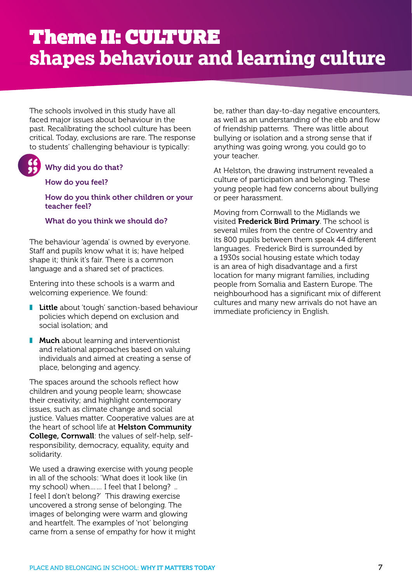### Theme II: CULTURE **shapes behaviour and learning culture**

The schools involved in this study have all faced major issues about behaviour in the past. Recalibrating the school culture has been critical. Today, exclusions are rare. The response to students' challenging behaviour is typically:

### Why did you do that? **" "**

### How do you feel?

#### How do you think other children or your teacher feel?

### What do you think we should do?

The behaviour 'agenda' is owned by everyone. Staff and pupils know what it is; have helped shape it; think it's fair. There is a common language and a shared set of practices.

Entering into these schools is a warm and welcoming experience. We found:

- Little about 'tough' sanction-based behaviour policies which depend on exclusion and social isolation; and
- Much about learning and interventionist and relational approaches based on valuing individuals and aimed at creating a sense of place, belonging and agency.

The spaces around the schools reflect how children and young people learn; showcase their creativity; and highlight contemporary issues, such as climate change and social justice. Values matter. Cooperative values are at the heart of school life at Helston Community College, Cornwall: the values of self-help, selfresponsibility, democracy, equality, equity and solidarity.

We used a drawing exercise with young people in all of the schools: 'What does it look like (in my school) when…… I feel that I belong? .. I feel I don't belong?' This drawing exercise uncovered a strong sense of belonging. The images of belonging were warm and glowing and heartfelt. The examples of 'not' belonging came from a sense of empathy for how it might

be, rather than day-to-day negative encounters, as well as an understanding of the ebb and flow of friendship patterns. There was little about bullying or isolation and a strong sense that if anything was going wrong, you could go to your teacher.

At Helston, the drawing instrument revealed a culture of participation and belonging. These young people had few concerns about bullying or peer harassment.

Moving from Cornwall to the Midlands we visited Frederick Bird Primary. The school is several miles from the centre of Coventry and its 800 pupils between them speak 44 different languages. Frederick Bird is surrounded by a 1930s social housing estate which today is an area of high disadvantage and a first location for many migrant families, including people from Somalia and Eastern Europe. The neighbourhood has a significant mix of different cultures and many new arrivals do not have an immediate proficiency in English.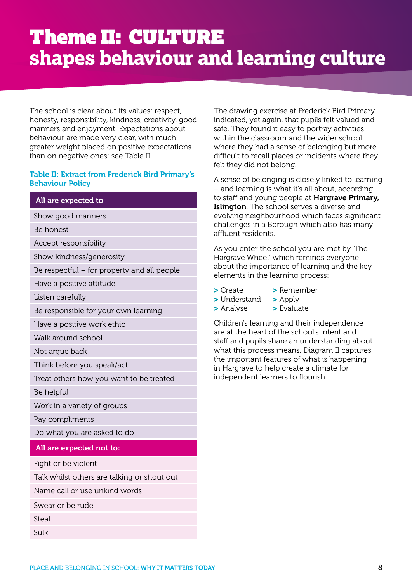The school is clear about its values: respect, honesty, responsibility, kindness, creativity, good manners and enjoyment. Expectations about behaviour are made very clear, with much greater weight placed on positive expectations than on negative ones: see Table II.

### Table II: Extract from Frederick Bird Primary's Behaviour Policy

### All are expected to

- Show good manners
- Be honest
- Accept responsibility
- Show kindness/generosity
- Be respectful for property and all people
- Have a positive attitude
- Listen carefully
- Be responsible for your own learning
- Have a positive work ethic
- Walk around school
- Not argue back
- Think before you speak/act
- Treat others how you want to be treated
- Be helpful
- Work in a variety of groups
- Pay compliments
- Do what you are asked to do

#### All are expected not to:

- Fight or be violent
- Talk whilst others are talking or shout out
- Name call or use unkind words
- Swear or be rude
- Steal
- Sulk

The drawing exercise at Frederick Bird Primary indicated, yet again, that pupils felt valued and safe. They found it easy to portray activities within the classroom and the wider school where they had a sense of belonging but more difficult to recall places or incidents where they felt they did not belong.

A sense of belonging is closely linked to learning – and learning is what it's all about, according to staff and young people at Hargrave Primary, Islington. The school serves a diverse and evolving neighbourhood which faces significant challenges in a Borough which also has many affluent residents.

As you enter the school you are met by 'The Hargrave Wheel' which reminds everyone about the importance of learning and the key elements in the learning process:

- 
- > Create > Remember
- > Understand > Apply
- > Analyse > Evaluate

Children's learning and their independence are at the heart of the school's intent and staff and pupils share an understanding about what this process means. Diagram II captures the important features of what is happening in Hargrave to help create a climate for independent learners to flourish.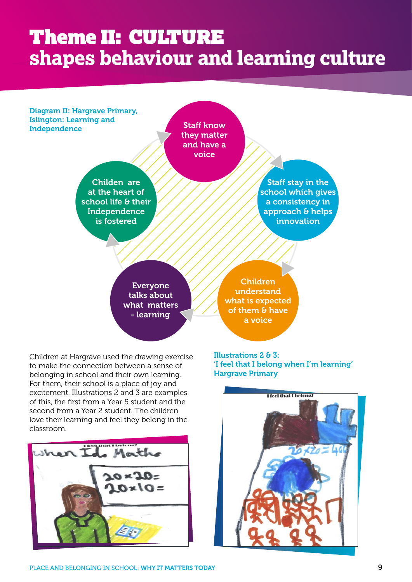### Theme II: CULTURE **shapes behaviour and learning culture**

Diagram II: Hargrave Primary, Islington: Learning and Independence

Staff know they matter and have a voice

Childen are at the heart of school life & their **Independence** is fostered

Staff stay in the school which gives a consistency in approach & helps innovation

Everyone talks about what matters - learning

Children understand what is expected of them & have a voice

Children at Hargrave used the drawing exercise to make the connection between a sense of belonging in school and their own learning. For them, their school is a place of joy and excitement. Illustrations 2 and 3 are examples of this, the first from a Year 5 student and the second from a Year 2 student. The children love their learning and feel they belong in the classroom.



Illustrations 2 & 3: 'I feel that I belong when I'm learning' Hargrave Primary

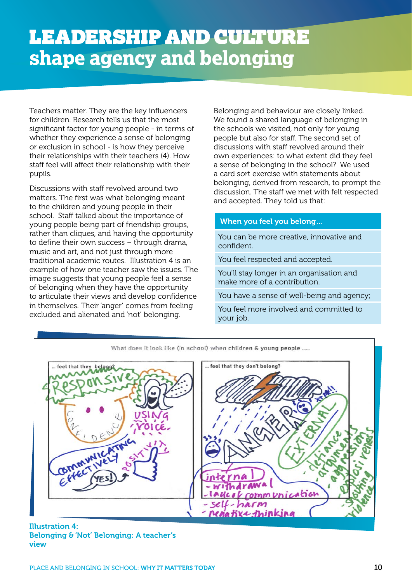Teachers matter. They are the key influencers for children. Research tells us that the most significant factor for young people - in terms of whether they experience a sense of belonging or exclusion in school - is how they perceive their relationships with their teachers (4). How staff feel will affect their relationship with their pupils.

Discussions with staff revolved around two matters. The first was what belonging meant to the children and young people in their school. Staff talked about the importance of young people being part of friendship groups, rather than cliques, and having the opportunity to define their own success – through drama, music and art, and not just through more traditional academic routes. Illustration 4 is an example of how one teacher saw the issues. The image suggests that young people feel a sense of belonging when they have the opportunity to articulate their views and develop confidence in themselves. Their 'anger' comes from feeling excluded and alienated and 'not' belonging.

Belonging and behaviour are closely linked. We found a shared language of belonging in the schools we visited, not only for young people but also for staff. The second set of discussions with staff revolved around their own experiences: to what extent did they feel a sense of belonging in the school? We used a card sort exercise with statements about belonging, derived from research, to prompt the discussion. The staff we met with felt respected and accepted. They told us that:

### When you feel you belong…

You can be more creative, innovative and confident.

You feel respected and accepted.

You'll stay longer in an organisation and make more of a contribution.

You have a sense of well-being and agency;

You feel more involved and committed to your job.



Illustration 4: Belonging & 'Not' Belonging: A teacher's view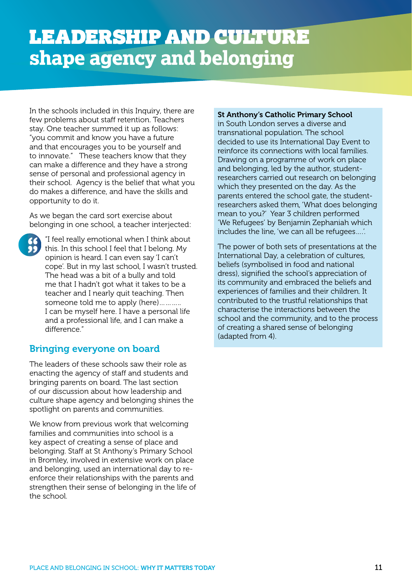### LEADERSHIP AND CULTURE **shape agency and belonging**

In the schools included in this Inquiry, there are few problems about staff retention. Teachers stay. One teacher summed it up as follows: "you commit and know you have a future and that encourages you to be yourself and to innovate." These teachers know that they can make a difference and they have a strong sense of personal and professional agency in their school. Agency is the belief that what you do makes a difference, and have the skills and opportunity to do it.

As we began the card sort exercise about belonging in one school, a teacher interjected:



"I feel really emotional when I think about this. In this school I feel that I belong. My opinion is heard. I can even say 'I can't cope'. But in my last school, I wasn't trusted. The head was a bit of a bully and told me that I hadn't got what it takes to be a teacher and I nearly quit teaching. Then someone told me to apply (here)……….. I can be myself here. I have a personal life and a professional life, and I can make a difference."

### Bringing everyone on board

The leaders of these schools saw their role as enacting the agency of staff and students and bringing parents on board. The last section of our discussion about how leadership and culture shape agency and belonging shines the spotlight on parents and communities.

We know from previous work that welcoming families and communities into school is a key aspect of creating a sense of place and belonging. Staff at St Anthony's Primary School in Bromley, involved in extensive work on place and belonging, used an international day to reenforce their relationships with the parents and strengthen their sense of belonging in the life of the school.

#### St Anthony's Catholic Primary School

in South London serves a diverse and transnational population. The school decided to use its International Day Event to reinforce its connections with local families. Drawing on a programme of work on place and belonging, led by the author, studentresearchers carried out research on belonging which they presented on the day. As the parents entered the school gate, the studentresearchers asked them, 'What does belonging mean to you?' Year 3 children performed 'We Refugees' by Benjamin Zephaniah which includes the line, 'we can all be refugees….'.

The power of both sets of presentations at the International Day, a celebration of cultures, beliefs (symbolised in food and national dress), signified the school's appreciation of its community and embraced the beliefs and experiences of families and their children. It contributed to the trustful relationships that characterise the interactions between the school and the community, and to the process of creating a shared sense of belonging (adapted from 4).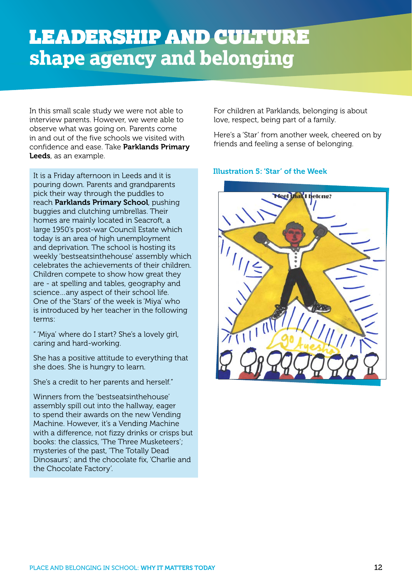### LEADERSHIP AND CULTURE **shape agency and belonging**

In this small scale study we were not able to interview parents. However, we were able to observe what was going on. Parents come in and out of the five schools we visited with confidence and ease. Take Parklands Primary Leeds, as an example.

It is a Friday afternoon in Leeds and it is pouring down. Parents and grandparents pick their way through the puddles to reach Parklands Primary School, pushing buggies and clutching umbrellas. Their homes are mainly located in Seacroft, a large 1950's post-war Council Estate which today is an area of high unemployment and deprivation. The school is hosting its weekly 'bestseatsinthehouse' assembly which celebrates the achievements of their children. Children compete to show how great they are - at spelling and tables, geography and science…any aspect of their school life. One of the 'Stars' of the week is 'Miya' who is introduced by her teacher in the following terms:

" 'Miya' where do I start? She's a lovely girl, caring and hard-working.

She has a positive attitude to everything that she does. She is hungry to learn.

She's a credit to her parents and herself."

Winners from the 'bestseatsinthehouse' assembly spill out into the hallway, eager to spend their awards on the new Vending Machine. However, it's a Vending Machine with a difference, not fizzy drinks or crisps but books: the classics, 'The Three Musketeers'; mysteries of the past, 'The Totally Dead Dinosaurs'; and the chocolate fix, 'Charlie and the Chocolate Factory'.

For children at Parklands, belonging is about love, respect, being part of a family.

Here's a 'Star' from another week, cheered on by friends and feeling a sense of belonging.

### Illustration 5: 'Star' of the Week

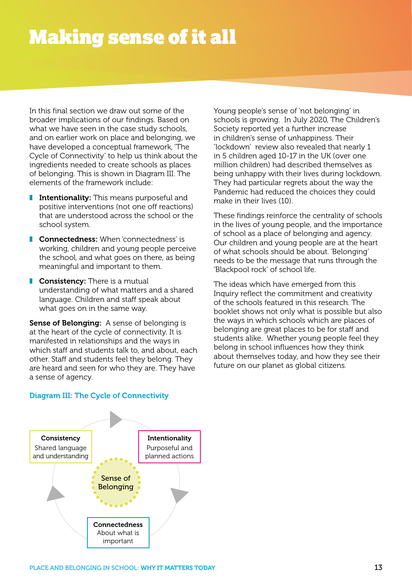### Making sense of it all

In this final section we draw out some of the broader implications of our findings. Based on what we have seen in the case study schools, and on earlier work on place and belonging, we have developed a conceptual framework, 'The Cycle of Connectivity' to help us think about the ingredients needed to create schools as places of belonging. This is shown in Diagram III. The elements of the framework include:

- **I** Intentionality: This means purposeful and positive interventions (not one off reactions) that are understood across the school or the school system.
- **■** Connectedness: When 'connectedness' is working, children and young people perceive the school, and what goes on there, as being meaningful and important to them.
- **Consistency:** There is a mutual understanding of what matters and a shared language. Children and staff speak about what goes on in the same way.

Sense of Belonging: A sense of belonging is at the heart of the cycle of connectivity. It is manifested in relationships and the ways in which staff and students talk to, and about, each other. Staff and students feel they belong. They are heard and seen for who they are. They have a sense of agency.

Young people's sense of 'not belonging' in schools is growing. In July 2020, The Children's Society reported yet a further increase in children's sense of unhappiness. Their 'lockdown' review also revealed that nearly 1 in 5 children aged 10-17 in the UK (over one million children) had described themselves as being unhappy with their lives during lockdown. They had particular regrets about the way the Pandemic had reduced the choices they could make in their lives (10).

These findings reinforce the centrality of schools in the lives of young people, and the importance of school as a place of belonging and agency. Our children and young people are at the heart of what schools should be about. 'Belonging' needs to be the message that runs through the 'Blackpool rock' of school life.

The ideas which have emerged from this Inquiry reflect the commitment and creativity of the schools featured in this research. The booklet shows not only what is possible but also the ways in which schools which are places of belonging are great places to be for staff and students alike. Whether young people feel they belong in school influences how they think about themselves today, and how they see their future on our planet as global citizens.



### Diagram III: The Cycle of Connectivity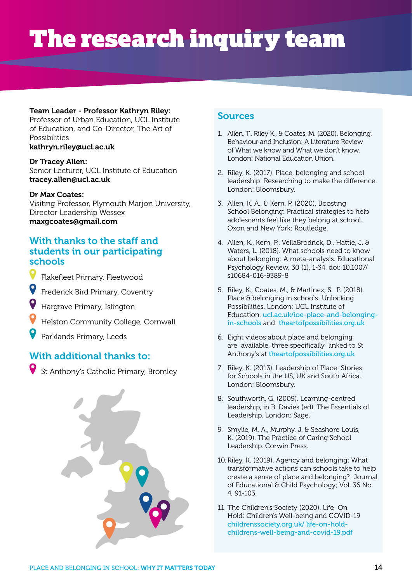## The research inquiry team

### Team Leader - Professor Kathryn Riley:

Professor of Urban Education, UCL Institute of Education, and Co-Director, The Art of Possibilities

### kathryn.riley@ucl.ac.uk

### Dr Tracey Allen:

Senior Lecturer, UCL Institute of Education tracey.allen@ucl.ac.uk

### Dr Max Coates:

Visiting Professor, Plymouth Marjon University, Director Leadership Wessex maxgcoates@gmail.com

### With thanks to the staff and students in our participating schools

- Flakefleet Primary, Fleetwood
- Frederick Bird Primary, Coventry
- Hargrave Primary, Islington
- Helston Community College, Cornwall
- Parklands Primary, Leeds

### With additional thanks to:

St Anthony's Catholic Primary, Bromley



### Sources

- 1. Allen, T., Riley K., & Coates, M. (2020). Belonging, Behaviour and Inclusion: A Literature Review of What we know and What we don't know. London: National Education Union.
- 2. Riley, K. (2017). Place, belonging and school leadership: Researching to make the difference. London: Bloomsbury.
- 3. Allen, K. A., & Kern, P. (2020). Boosting School Belonging: Practical strategies to help adolescents feel like they belong at school. Oxon and New York: Routledge.
- 4. Allen, K., Kern, P., VellaBrodrick, D., Hattie, J. & Waters, L. (2018). What schools need to know about belonging: A meta-analysis. Educational Psychology Review, 30 (1), 1-34. doi: 10.1007/ s10684-016-9389-8
- 5. Riley, K., Coates, M., & Martinez, S. P. (2018). Place & belonging in schools: Unlocking Possibilities. London: UCL Institute of Education. [ucl.ac.uk/ioe-place-and-belonging](http://www.ucl.ac.uk/ioe-place-and-belonging-in-schools)[in-schools](http://www.ucl.ac.uk/ioe-place-and-belonging-in-schools) and [theartofpossibilities.org.uk](http://www.theartofpossibilities.org.uk)
- 6. Eight videos about place and belonging are available, three specifically linked to St Anthony's at [theartofpossibilities.org.uk](http://www.theartofpossibilities.org.uk)
- 7. Riley, K. (2013). Leadership of Place: Stories for Schools in the US, UK and South Africa. London: Bloomsbury.
- 8. Southworth, G. (2009). Learning-centred leadership, in B. Davies (ed). The Essentials of Leadership. London: Sage.
- 9. Smylie, M. A., Murphy, J. & Seashore Louis, K. (2019). The Practice of Caring School Leadership. Corwin Press.
- 10. Riley, K. (2019). Agency and belonging: What transformative actions can schools take to help create a sense of place and belonging? Journal of Educational & Child Psychology; Vol. 36 No. 4, 91-103.
- 11. The Children's Society (2020). Life On Hold: Children's Well-being and COVID-19 [childrenssociety.org.uk/ life-on-hold](https://www.childrenssociety.org.uk/life-on-hold-childrens-well-being-and-covid-19.pdf)[childrens-well-being-and-covid-19.pdf](https://www.childrenssociety.org.uk/life-on-hold-childrens-well-being-and-covid-19.pdf)